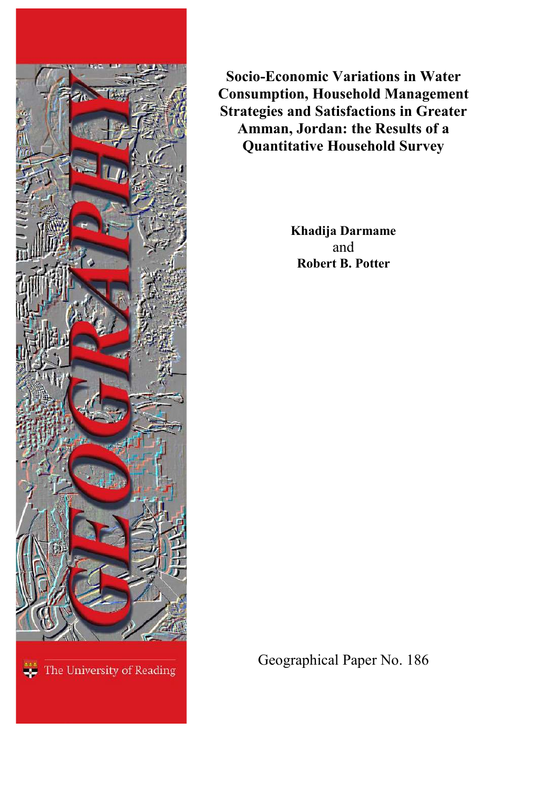

**Socio-Economic Variations in Water Consumption, Household Management Strategies and Satisfactions in Greater Amman, Jordan: the Results of a Quantitative Household Survey**

> **Khadija Darmame** and **Robert B. Potter**

Geographical Paper No. 186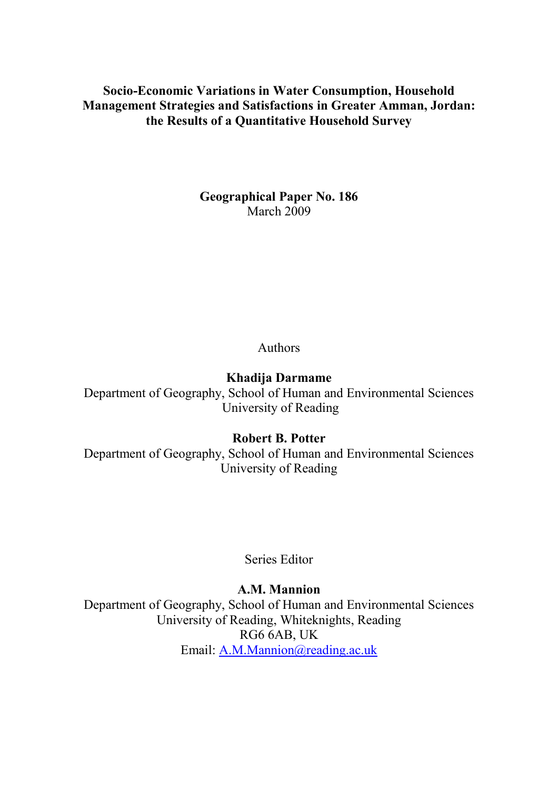**Socio-Economic Variations in Water Consumption, Household Management Strategies and Satisfactions in Greater Amman, Jordan: the Results of a Quantitative Household Survey**

> **Geographical Paper No. 186** March 2009

> > Authors

**Khadija Darmame**

Department of Geography, School of Human and Environmental Sciences University of Reading

**Robert B. Potter**

Department of Geography, School of Human and Environmental Sciences University of Reading

Series Editor

**A.M. Mannion**

Department of Geography, School of Human and Environmental Sciences University of Reading, Whiteknights, Reading RG6 6AB, UK Email: [A.M.Mannion@reading.ac.uk](mailto:A.M.Mannion@reading.ac.uk)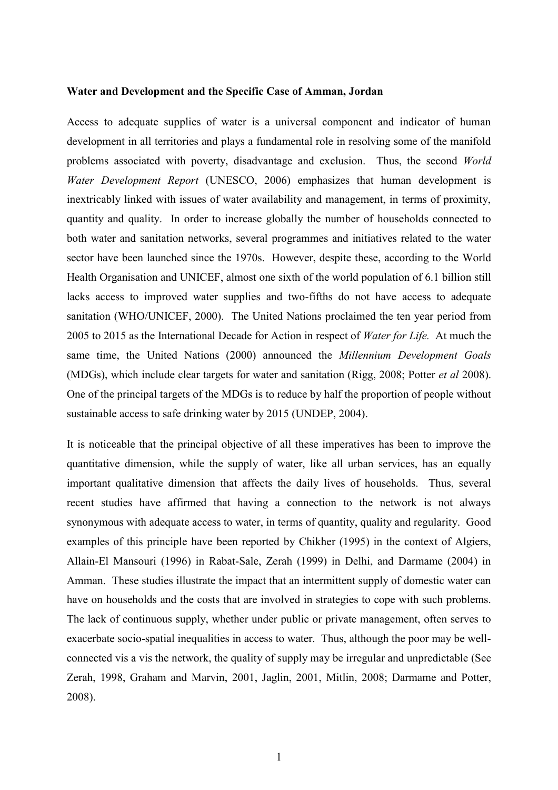#### **Water and Development and the Specific Case of Amman, Jordan**

Access to adequate supplies of water is a universal component and indicator of human development in all territories and plays a fundamental role in resolving some of the manifold problems associated with poverty, disadvantage and exclusion. Thus, the second *World Water Development Report* (UNESCO, 2006) emphasizes that human development is inextricably linked with issues of water availability and management, in terms of proximity, quantity and quality. In order to increase globally the number of households connected to both water and sanitation networks, several programmes and initiatives related to the water sector have been launched since the 1970s. However, despite these, according to the World Health Organisation and UNICEF, almost one sixth of the world population of 6.1 billion still lacks access to improved water supplies and two-fifths do not have access to adequate sanitation (WHO/UNICEF, 2000). The United Nations proclaimed the ten year period from 2005 to 2015 as the International Decade for Action in respect of *Water for Life.* At much the same time, the United Nations (2000) announced the *Millennium Development Goals* (MDGs), which include clear targets for water and sanitation (Rigg, 2008; Potter *et al* 2008). One of the principal targets of the MDGs is to reduce by half the proportion of people without sustainable access to safe drinking water by 2015 (UNDEP, 2004).

It is noticeable that the principal objective of all these imperatives has been to improve the quantitative dimension, while the supply of water, like all urban services, has an equally important qualitative dimension that affects the daily lives of households. Thus, several recent studies have affirmed that having a connection to the network is not always synonymous with adequate access to water, in terms of quantity, quality and regularity. Good examples of this principle have been reported by Chikher (1995) in the context of Algiers, Allain-El Mansouri (1996) in Rabat-Sale, Zerah (1999) in Delhi, and Darmame (2004) in Amman. These studies illustrate the impact that an intermittent supply of domestic water can have on households and the costs that are involved in strategies to cope with such problems. The lack of continuous supply, whether under public or private management, often serves to exacerbate socio-spatial inequalities in access to water. Thus, although the poor may be wellconnected vis a vis the network, the quality of supply may be irregular and unpredictable (See Zerah, 1998, Graham and Marvin, 2001, Jaglin, 2001, Mitlin, 2008; Darmame and Potter, 2008).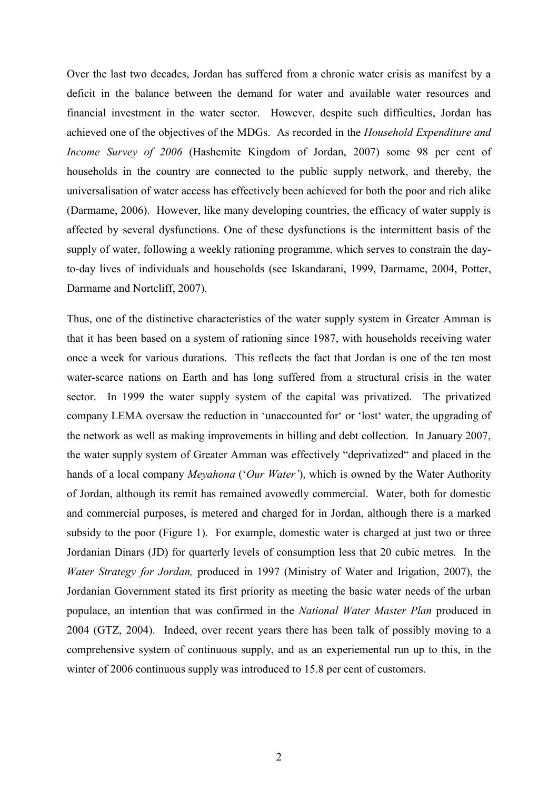Over the last two decades, Jordan has suffered from a chronic water crisis as manifest by a deficit in the balance between the demand for water and available water resources and financial investment in the water sector. However, despite such difficulties, Jordan has achieved one of the objectives of the MDGs. As recorded in the *Household Expenditure and Income Survey of 2006* (Hashemite Kingdom of Jordan, 2007) some 98 per cent of households in the country are connected to the public supply network, and thereby, the universalisation of water access has effectively been achieved for both the poor and rich alike (Darmame, 2006). However, like many developing countries, the efficacy of water supply is affected by several dysfunctions. One of these dysfunctions is the intermittent basis of the supply of water, following a weekly rationing programme, which serves to constrain the dayto-day lives of individuals and households (see Iskandarani, 1999, Darmame, 2004, Potter, Darmame and Nortcliff, 2007).

Thus, one of the distinctive characteristics of the water supply system in Greater Amman is that it has been based on a system of rationing since 1987, with households receiving water once a week for various durations. This reflects the fact that Jordan is one of the ten most water-scarce nations on Earth and has long suffered from a structural crisis in the water sector. In 1999 the water supply system of the capital was privatized. The privatized company LEMA oversaw the reduction in 'unaccounted for' or 'lost' water, the upgrading of the network as well as making improvements in billing and debt collection. In January 2007, the water supply system of Greater Amman was effectively "deprivatized" and placed in the hands of a local company *Meyahona* ('*Our Water'*), which is owned by the Water Authority of Jordan, although its remit has remained avowedly commercial. Water, both for domestic and commercial purposes, is metered and charged for in Jordan, although there is a marked subsidy to the poor (Figure 1). For example, domestic water is charged at just two or three Jordanian Dinars (JD) for quarterly levels of consumption less that 20 cubic metres. In the *Water Strategy for Jordan,* produced in 1997 (Ministry of Water and Irigation, 2007), the Jordanian Government stated its first priority as meeting the basic water needs of the urban populace, an intention that was confirmed in the *National Water Master Plan* produced in 2004 (GTZ, 2004). Indeed, over recent years there has been talk of possibly moving to a comprehensive system of continuous supply, and as an experiemental run up to this, in the winter of 2006 continuous supply was introduced to 15.8 per cent of customers.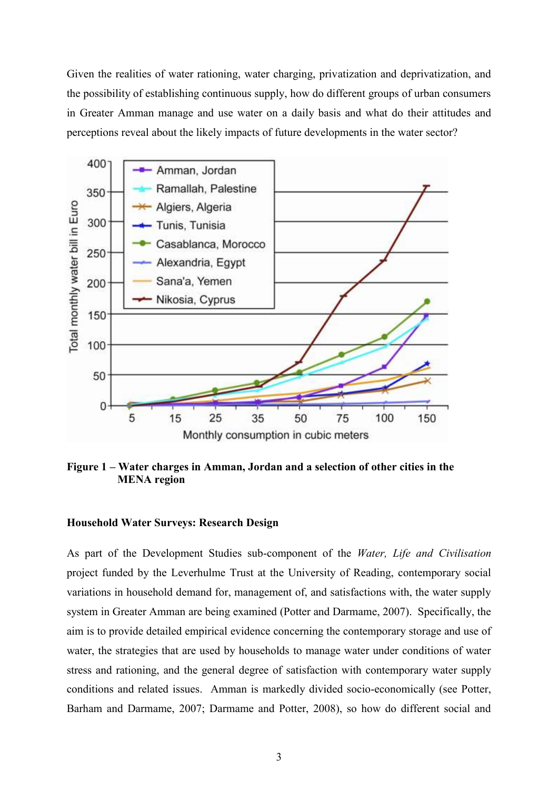Given the realities of water rationing, water charging, privatization and deprivatization, and the possibility of establishing continuous supply, how do different groups of urban consumers in Greater Amman manage and use water on a daily basis and what do their attitudes and perceptions reveal about the likely impacts of future developments in the water sector?



**Figure 1 – Water charges in Amman, Jordan and a selection of other cities in the MENA region**

#### **Household Water Surveys: Research Design**

As part of the Development Studies sub-component of the *Water, Life and Civilisation* project funded by the Leverhulme Trust at the University of Reading, contemporary social variations in household demand for, management of, and satisfactions with, the water supply system in Greater Amman are being examined (Potter and Darmame, 2007). Specifically, the aim is to provide detailed empirical evidence concerning the contemporary storage and use of water, the strategies that are used by households to manage water under conditions of water stress and rationing, and the general degree of satisfaction with contemporary water supply conditions and related issues. Amman is markedly divided socio-economically (see Potter, Barham and Darmame, 2007; Darmame and Potter, 2008), so how do different social and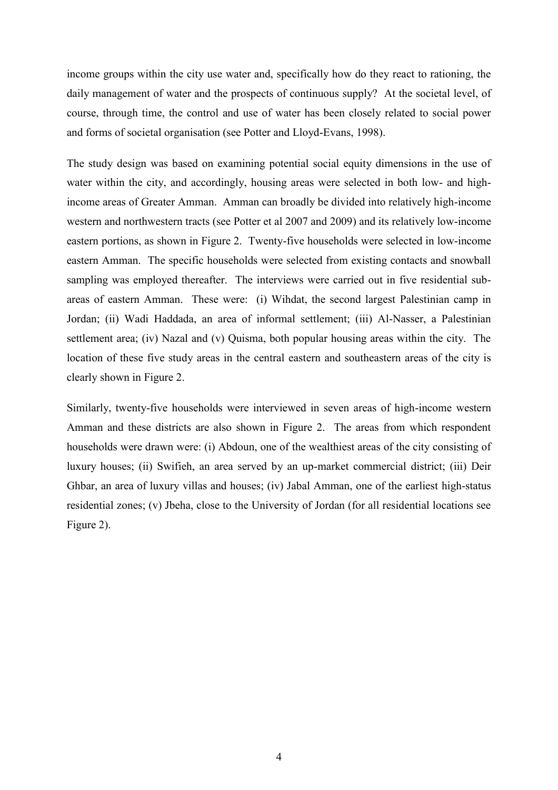income groups within the city use water and, specifically how do they react to rationing, the daily management of water and the prospects of continuous supply? At the societal level, of course, through time, the control and use of water has been closely related to social power and forms of societal organisation (see Potter and Lloyd-Evans, 1998).

The study design was based on examining potential social equity dimensions in the use of water within the city, and accordingly, housing areas were selected in both low- and highincome areas of Greater Amman. Amman can broadly be divided into relatively high-income western and northwestern tracts (see Potter et al 2007 and 2009) and its relatively low-income eastern portions, as shown in Figure 2. Twenty-five households were selected in low-income eastern Amman. The specific households were selected from existing contacts and snowball sampling was employed thereafter. The interviews were carried out in five residential subareas of eastern Amman. These were: (i) Wihdat, the second largest Palestinian camp in Jordan; (ii) Wadi Haddada, an area of informal settlement; (iii) Al-Nasser, a Palestinian settlement area; (iv) Nazal and (v) Quisma, both popular housing areas within the city. The location of these five study areas in the central eastern and southeastern areas of the city is clearly shown in Figure 2.

Similarly, twenty-five households were interviewed in seven areas of high-income western Amman and these districts are also shown in Figure 2. The areas from which respondent households were drawn were: (i) Abdoun, one of the wealthiest areas of the city consisting of luxury houses; (ii) Swifieh, an area served by an up-market commercial district; (iii) Deir Ghbar, an area of luxury villas and houses; (iv) Jabal Amman, one of the earliest high-status residential zones; (v) Jbeha, close to the University of Jordan (for all residential locations see Figure 2).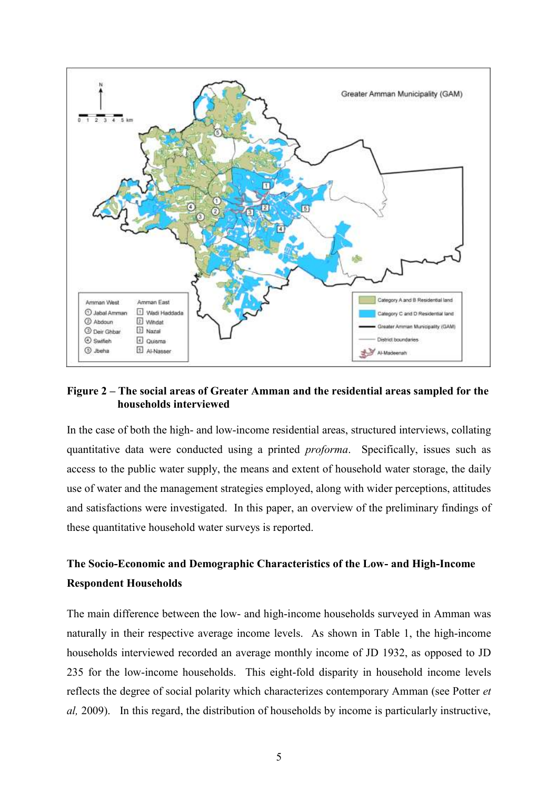

## **Figure 2 – The social areas of Greater Amman and the residential areas sampled for the households interviewed**

In the case of both the high- and low-income residential areas, structured interviews, collating quantitative data were conducted using a printed *proforma*. Specifically, issues such as access to the public water supply, the means and extent of household water storage, the daily use of water and the management strategies employed, along with wider perceptions, attitudes and satisfactions were investigated. In this paper, an overview of the preliminary findings of these quantitative household water surveys is reported.

# **The Socio-Economic and Demographic Characteristics of the Low- and High-Income Respondent Households**

The main difference between the low- and high-income households surveyed in Amman was naturally in their respective average income levels. As shown in Table 1, the high-income households interviewed recorded an average monthly income of JD 1932, as opposed to JD 235 for the low-income households. This eight-fold disparity in household income levels reflects the degree of social polarity which characterizes contemporary Amman (see Potter *et al,* 2009). In this regard, the distribution of households by income is particularly instructive,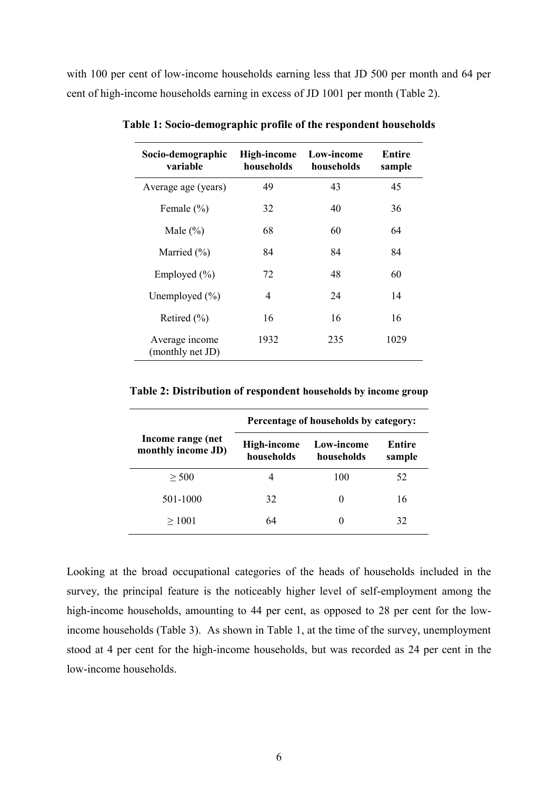with 100 per cent of low-income households earning less that JD 500 per month and 64 per cent of high-income households earning in excess of JD 1001 per month (Table 2).

| Socio-demographic<br>variable      | High-income<br>households | Low-income<br>households | Entire<br>sample |
|------------------------------------|---------------------------|--------------------------|------------------|
| Average age (years)                | 49                        | 43                       | 45               |
| Female $(\% )$                     | 32                        | 40                       | 36               |
| Male $(\% )$                       | 68                        | 60                       | 64               |
| Married $(\% )$                    | 84                        | 84                       | 84               |
| Employed $(\% )$                   | 72                        | 48                       | 60               |
| Unemployed $(\% )$                 | 4                         | 24                       | 14               |
| Retired (%)                        | 16                        | 16                       | 16               |
| Average income<br>(monthly net JD) | 1932                      | 235                      | 1029             |

**Table 1: Socio-demographic profile of the respondent households**

**Table 2: Distribution of respondent households by income group**

|                                         | Percentage of households by category: |                          |                  |  |
|-----------------------------------------|---------------------------------------|--------------------------|------------------|--|
| Income range (net<br>monthly income JD) | High-income<br>households             | Low-income<br>households | Entire<br>sample |  |
| > 500                                   |                                       | 100                      | 52               |  |
| 501-1000                                | 32                                    | $\mathbf{0}$             | 16               |  |
| >1001                                   | 64                                    |                          | 32               |  |

Looking at the broad occupational categories of the heads of households included in the survey, the principal feature is the noticeably higher level of self-employment among the high-income households, amounting to 44 per cent, as opposed to 28 per cent for the lowincome households (Table 3). As shown in Table 1, at the time of the survey, unemployment stood at 4 per cent for the high-income households, but was recorded as 24 per cent in the low-income households.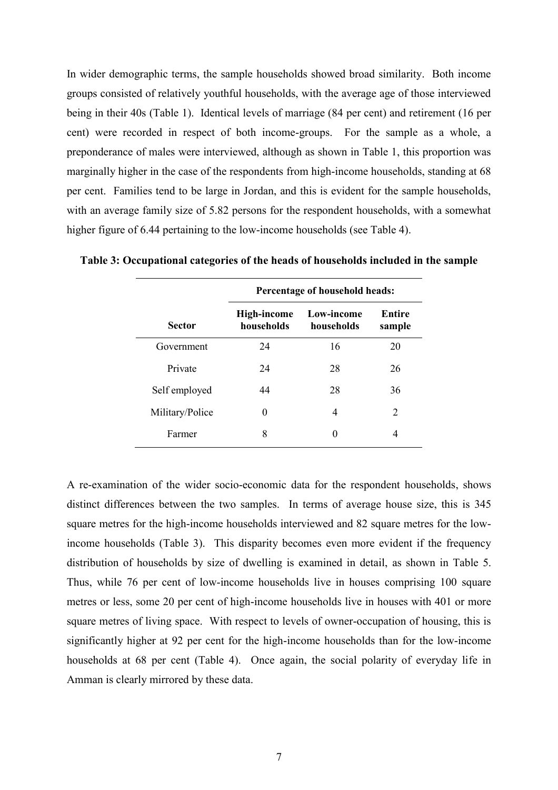In wider demographic terms, the sample households showed broad similarity. Both income groups consisted of relatively youthful households, with the average age of those interviewed being in their 40s (Table 1). Identical levels of marriage (84 per cent) and retirement (16 per cent) were recorded in respect of both income-groups. For the sample as a whole, a preponderance of males were interviewed, although as shown in Table 1, this proportion was marginally higher in the case of the respondents from high-income households, standing at 68 per cent. Families tend to be large in Jordan, and this is evident for the sample households, with an average family size of 5.82 persons for the respondent households, with a somewhat higher figure of 6.44 pertaining to the low-income households (see Table 4).

|                 | Percentage of household heads: |                          |                  |  |
|-----------------|--------------------------------|--------------------------|------------------|--|
| <b>Sector</b>   | High-income<br>households      | Low-income<br>households | Entire<br>sample |  |
| Government      | 24                             | 16                       | 20               |  |
| Private         | 24                             | 28                       | 26               |  |
| Self employed   | 44                             | 28                       | 36               |  |
| Military/Police | $\theta$                       | 4                        | 2                |  |
| Farmer          | 8                              | 0                        | 4                |  |

**Table 3: Occupational categories of the heads of households included in the sample**

A re-examination of the wider socio-economic data for the respondent households, shows distinct differences between the two samples. In terms of average house size, this is 345 square metres for the high-income households interviewed and 82 square metres for the lowincome households (Table 3). This disparity becomes even more evident if the frequency distribution of households by size of dwelling is examined in detail, as shown in Table 5. Thus, while 76 per cent of low-income households live in houses comprising 100 square metres or less, some 20 per cent of high-income households live in houses with 401 or more square metres of living space. With respect to levels of owner-occupation of housing, this is significantly higher at 92 per cent for the high-income households than for the low-income households at 68 per cent (Table 4). Once again, the social polarity of everyday life in Amman is clearly mirrored by these data.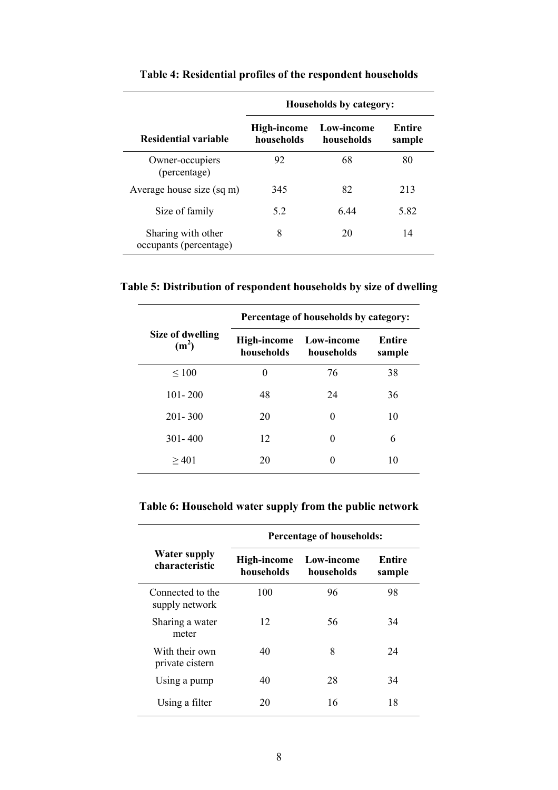|                                              | Households by category:          |                          |                  |  |
|----------------------------------------------|----------------------------------|--------------------------|------------------|--|
| Residential variable                         | <b>High-income</b><br>households | Low-income<br>households | Entire<br>sample |  |
| Owner-occupiers<br>(percentage)              | 92                               | 68                       | 80               |  |
| Average house size (sq m)                    | 345                              | 82                       | 213              |  |
| Size of family                               | 5.2                              | 644                      | 5.82             |  |
| Sharing with other<br>occupants (percentage) | 8                                | 20                       | 14               |  |

# **Table 4: Residential profiles of the respondent households**

**Table 5: Distribution of respondent households by size of dwelling**

|                                       | Percentage of households by category: |                          |                  |  |
|---------------------------------------|---------------------------------------|--------------------------|------------------|--|
| Size of dwelling<br>(m <sup>2</sup> ) | High-income<br>households             | Low-income<br>households | Entire<br>sample |  |
| $\leq 100$                            | 0                                     | 76                       | 38               |  |
| $101 - 200$                           | 48                                    | 24                       | 36               |  |
| $201 - 300$                           | 20                                    | 0                        | 10               |  |
| $301 - 400$                           | 12                                    | 0                        | 6                |  |
| $\geq 401$                            | 20                                    | 0                        | 10               |  |

# **Table 6: Household water supply from the public network**

|                                       | <b>Percentage of households:</b> |                          |                  |  |
|---------------------------------------|----------------------------------|--------------------------|------------------|--|
| <b>Water supply</b><br>characteristic | <b>High-income</b><br>households | Low-income<br>households | Entire<br>sample |  |
| Connected to the<br>supply network    | 100                              | 96                       | 98               |  |
| Sharing a water<br>meter              | 12                               | 56                       | 34               |  |
| With their own<br>private cistern     | 40                               | 8                        | 24               |  |
| Using a pump                          | 40                               | 28                       | 34               |  |
| Using a filter                        | 20                               | 16                       | 18               |  |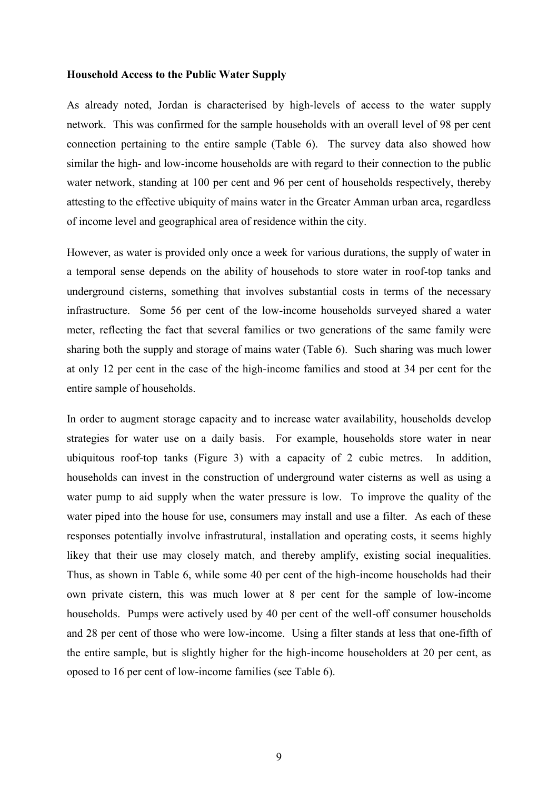#### **Household Access to the Public Water Supply**

As already noted, Jordan is characterised by high-levels of access to the water supply network. This was confirmed for the sample households with an overall level of 98 per cent connection pertaining to the entire sample (Table 6). The survey data also showed how similar the high- and low-income households are with regard to their connection to the public water network, standing at 100 per cent and 96 per cent of households respectively, thereby attesting to the effective ubiquity of mains water in the Greater Amman urban area, regardless of income level and geographical area of residence within the city.

However, as water is provided only once a week for various durations, the supply of water in a temporal sense depends on the ability of househods to store water in roof-top tanks and underground cisterns, something that involves substantial costs in terms of the necessary infrastructure. Some 56 per cent of the low-income households surveyed shared a water meter, reflecting the fact that several families or two generations of the same family were sharing both the supply and storage of mains water (Table 6). Such sharing was much lower at only 12 per cent in the case of the high-income families and stood at 34 per cent for the entire sample of households.

In order to augment storage capacity and to increase water availability, households develop strategies for water use on a daily basis. For example, households store water in near ubiquitous roof-top tanks (Figure 3) with a capacity of 2 cubic metres. In addition, households can invest in the construction of underground water cisterns as well as using a water pump to aid supply when the water pressure is low. To improve the quality of the water piped into the house for use, consumers may install and use a filter. As each of these responses potentially involve infrastrutural, installation and operating costs, it seems highly likey that their use may closely match, and thereby amplify, existing social inequalities. Thus, as shown in Table 6, while some 40 per cent of the high-income households had their own private cistern, this was much lower at 8 per cent for the sample of low-income households. Pumps were actively used by 40 per cent of the well-off consumer households and 28 per cent of those who were low-income. Using a filter stands at less that one-fifth of the entire sample, but is slightly higher for the high-income householders at 20 per cent, as oposed to 16 per cent of low-income families (see Table 6).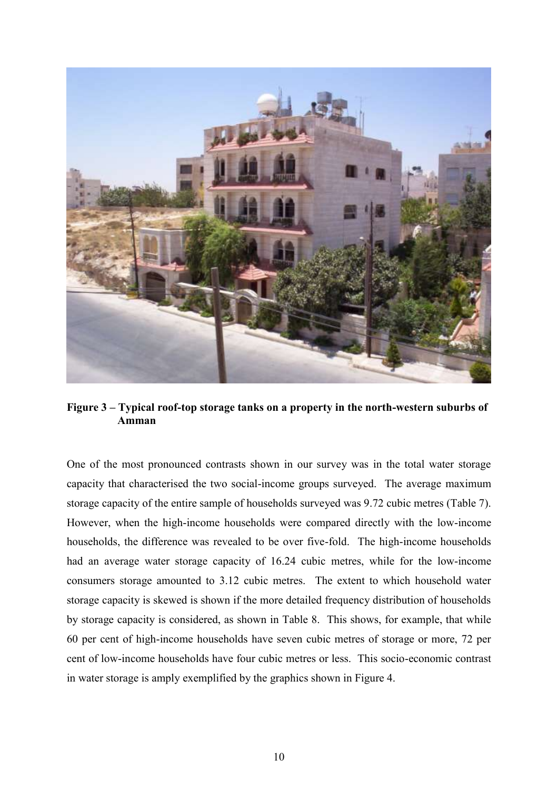

**Figure 3 – Typical roof-top storage tanks on a property in the north-western suburbs of Amman**

One of the most pronounced contrasts shown in our survey was in the total water storage capacity that characterised the two social-income groups surveyed. The average maximum storage capacity of the entire sample of households surveyed was 9.72 cubic metres (Table 7). However, when the high-income households were compared directly with the low-income households, the difference was revealed to be over five-fold. The high-income households had an average water storage capacity of 16.24 cubic metres, while for the low-income consumers storage amounted to 3.12 cubic metres. The extent to which household water storage capacity is skewed is shown if the more detailed frequency distribution of households by storage capacity is considered, as shown in Table 8. This shows, for example, that while 60 per cent of high-income households have seven cubic metres of storage or more, 72 per cent of low-income households have four cubic metres or less. This socio-economic contrast in water storage is amply exemplified by the graphics shown in Figure 4.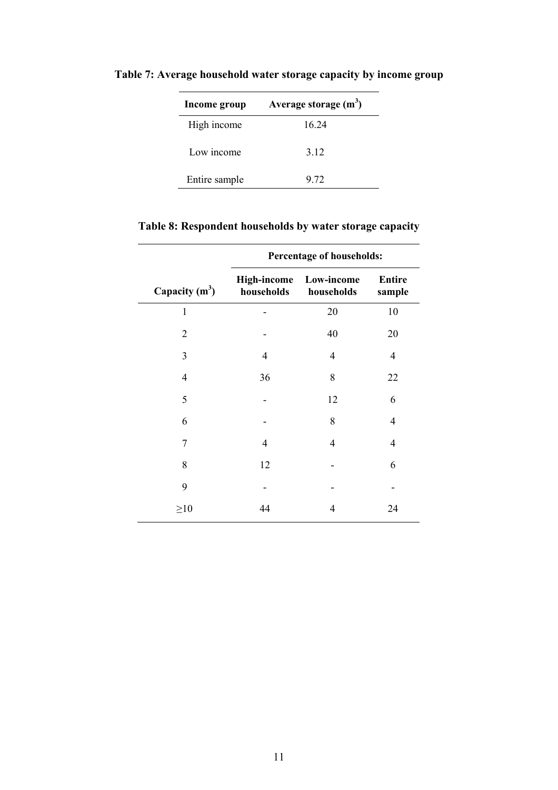| Income group  | Average storage $(m^3)$ |
|---------------|-------------------------|
| High income   | 16 24                   |
| Low income    | 3 1 2                   |
| Entire sample | 9 72                    |

**Table 7: Average household water storage capacity by income group**

| Table 8: Respondent households by water storage capacity |  |  |
|----------------------------------------------------------|--|--|
|                                                          |  |  |

|                  | Percentage of households:        |                          |                         |  |
|------------------|----------------------------------|--------------------------|-------------------------|--|
| Capacity $(m^3)$ | <b>High-income</b><br>households | Low-income<br>households | <b>Entire</b><br>sample |  |
| $\mathbf{1}$     |                                  | 20                       | 10                      |  |
| $\overline{2}$   |                                  | 40                       | 20                      |  |
| 3                | 4                                | $\overline{4}$           | 4                       |  |
| $\overline{4}$   | 36                               | 8                        | 22                      |  |
| 5                |                                  | 12                       | 6                       |  |
| 6                |                                  | 8                        | 4                       |  |
| 7                | $\overline{4}$                   | 4                        | 4                       |  |
| 8                | 12                               |                          | 6                       |  |
| 9                |                                  |                          |                         |  |
| $\geq 10$        | 44                               | 4                        | 24                      |  |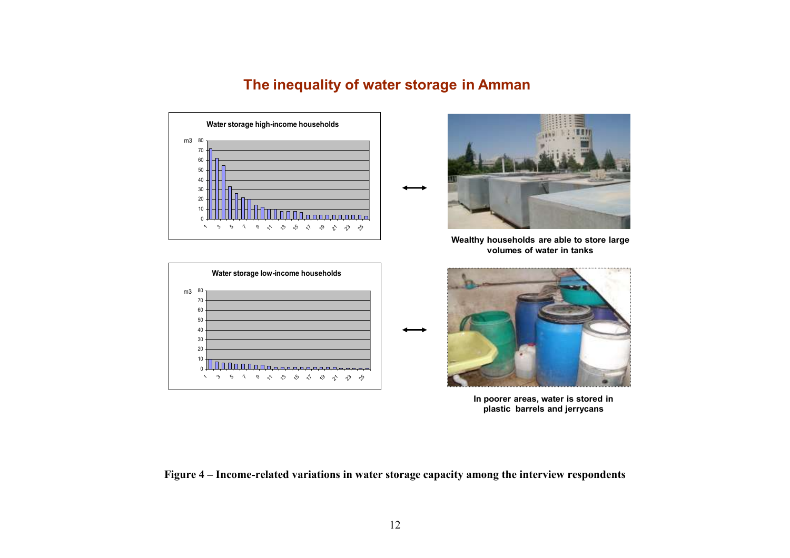# **The inequality of water storage in Amman**





**Wealthy households are able to store large volumes of water in tanks** 





**In poorer areas, water is stored in plastic barrels and jerrycans**

**Figure 4 – Income-related variations in water storage capacity among the interview respondents**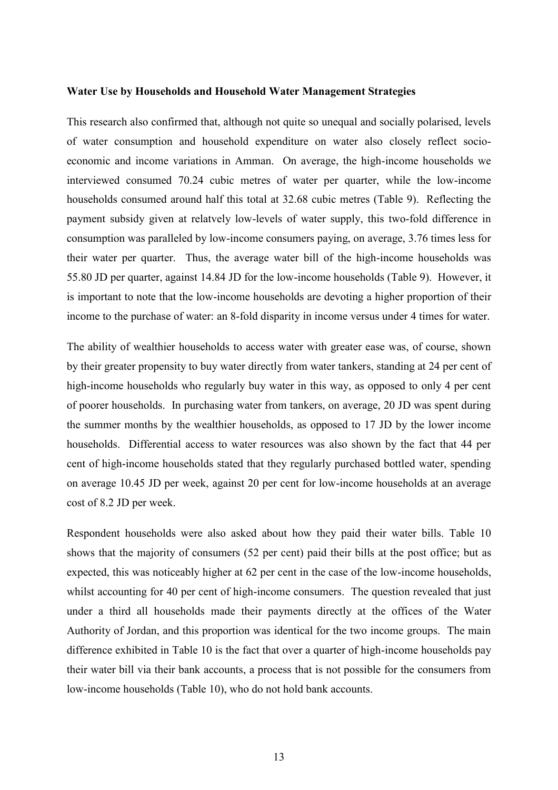#### **Water Use by Households and Household Water Management Strategies**

This research also confirmed that, although not quite so unequal and socially polarised, levels of water consumption and household expenditure on water also closely reflect socioeconomic and income variations in Amman. On average, the high-income households we interviewed consumed 70.24 cubic metres of water per quarter, while the low-income households consumed around half this total at 32.68 cubic metres (Table 9). Reflecting the payment subsidy given at relatvely low-levels of water supply, this two-fold difference in consumption was paralleled by low-income consumers paying, on average, 3.76 times less for their water per quarter. Thus, the average water bill of the high-income households was 55.80 JD per quarter, against 14.84 JD for the low-income households (Table 9). However, it is important to note that the low-income households are devoting a higher proportion of their income to the purchase of water: an 8-fold disparity in income versus under 4 times for water.

The ability of wealthier households to access water with greater ease was, of course, shown by their greater propensity to buy water directly from water tankers, standing at 24 per cent of high-income households who regularly buy water in this way, as opposed to only 4 per cent of poorer households. In purchasing water from tankers, on average, 20 JD was spent during the summer months by the wealthier households, as opposed to 17 JD by the lower income households. Differential access to water resources was also shown by the fact that 44 per cent of high-income households stated that they regularly purchased bottled water, spending on average 10.45 JD per week, against 20 per cent for low-income households at an average cost of 8.2 JD per week.

Respondent households were also asked about how they paid their water bills. Table 10 shows that the majority of consumers (52 per cent) paid their bills at the post office; but as expected, this was noticeably higher at 62 per cent in the case of the low-income households, whilst accounting for 40 per cent of high-income consumers. The question revealed that just under a third all households made their payments directly at the offices of the Water Authority of Jordan, and this proportion was identical for the two income groups. The main difference exhibited in Table 10 is the fact that over a quarter of high-income households pay their water bill via their bank accounts, a process that is not possible for the consumers from low-income households (Table 10), who do not hold bank accounts.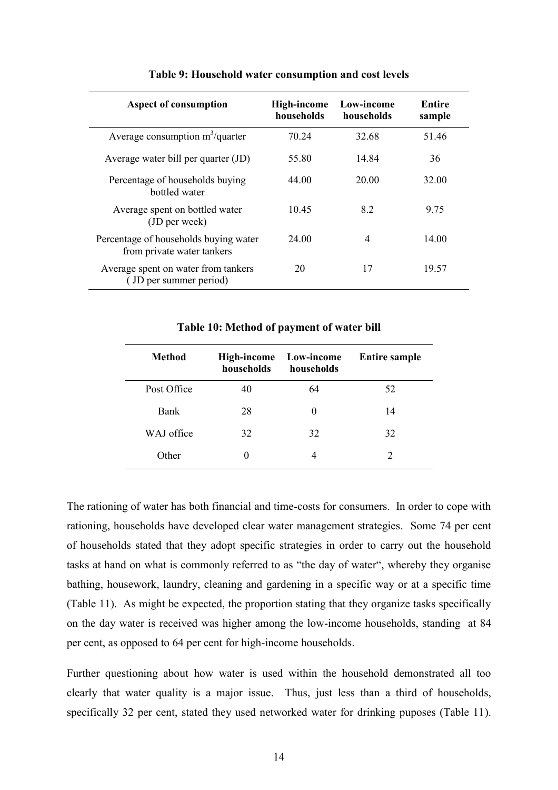| <b>Aspect of consumption</b>                                        | High-income<br>households | Low-income<br>households | Entire<br>sample |
|---------------------------------------------------------------------|---------------------------|--------------------------|------------------|
| Average consumption $m^3$ /quarter                                  | 70.24                     | 32.68                    | 51.46            |
| Average water bill per quarter (JD)                                 | 55.80                     | 14.84                    | 36               |
| Percentage of households buying<br>bottled water                    | 44.00                     | 20.00                    | 32.00            |
| Average spent on bottled water<br>(JD per week)                     | 10.45                     | 82                       | 9.75             |
| Percentage of households buying water<br>from private water tankers | 24 00                     | $\overline{4}$           | 14.00            |
| Average spent on water from tankers<br>(JD per summer period)       | 20                        | 17                       | 19.57            |

#### **Table 9: Household water consumption and cost levels**

| <b>Method</b> | High-income<br>households | Low-income<br>households | <b>Entire sample</b> |
|---------------|---------------------------|--------------------------|----------------------|
| Post Office   | 40                        | 64                       | 52                   |
| Bank          | 28                        | $\theta$                 | 14                   |
| WAJ office    | 32                        | 32                       | 32                   |
| Other         |                           |                          |                      |

#### **Table 10: Method of payment of water bill**

The rationing of water has both financial and time-costs for consumers. In order to cope with rationing, households have developed clear water management strategies. Some 74 per cent of households stated that they adopt specific strategies in order to carry out the household tasks at hand on what is commonly referred to as "the day of water", whereby they organise bathing, housework, laundry, cleaning and gardening in a specific way or at a specific time (Table 11). As might be expected, the proportion stating that they organize tasks specifically on the day water is received was higher among the low-income households, standing at 84 per cent, as opposed to 64 per cent for high-income households.

Further questioning about how water is used within the household demonstrated all too clearly that water quality is a major issue. Thus, just less than a third of households, specifically 32 per cent, stated they used networked water for drinking puposes (Table 11).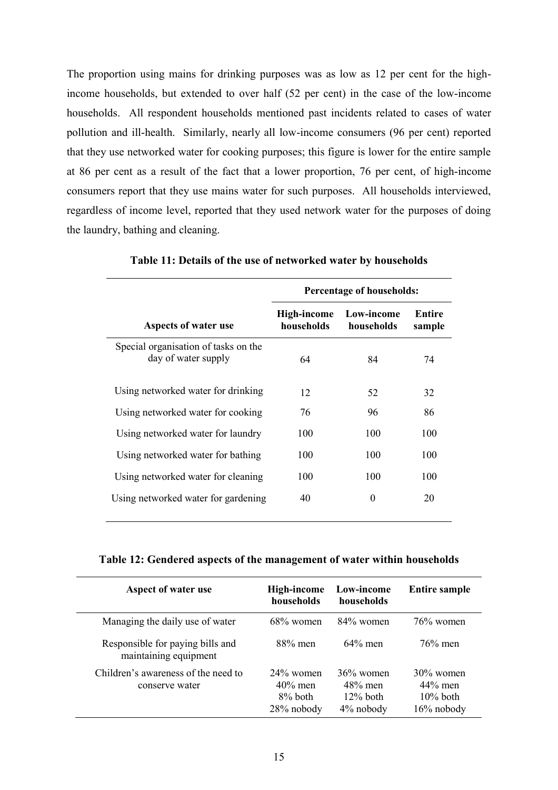The proportion using mains for drinking purposes was as low as 12 per cent for the highincome households, but extended to over half (52 per cent) in the case of the low-income households. All respondent households mentioned past incidents related to cases of water pollution and ill-health. Similarly, nearly all low-income consumers (96 per cent) reported that they use networked water for cooking purposes; this figure is lower for the entire sample at 86 per cent as a result of the fact that a lower proportion, 76 per cent, of high-income consumers report that they use mains water for such purposes. All households interviewed, regardless of income level, reported that they used network water for the purposes of doing the laundry, bathing and cleaning.

|                                                             | <b>Percentage of households:</b> |                          |                  |  |
|-------------------------------------------------------------|----------------------------------|--------------------------|------------------|--|
| Aspects of water use                                        | High-income<br>households        | Low-income<br>households | Entire<br>sample |  |
| Special organisation of tasks on the<br>day of water supply | 64                               | 84                       | 74               |  |
| Using networked water for drinking                          | 12                               | 52                       | 32               |  |
| Using networked water for cooking                           | 76                               | 96                       | 86               |  |
| Using networked water for laundry                           | 100                              | 100                      | 100              |  |
| Using networked water for bathing                           | 100                              | 100                      | 100              |  |
| Using networked water for cleaning                          | 100                              | 100                      | 100              |  |
| Using networked water for gardening                         | 40                               | 0                        | 20               |  |

**Table 11: Details of the use of networked water by households**

## **Table 12: Gendered aspects of the management of water within households**

| Aspect of water use                                       | High-income<br>households                           | Low-income<br>households                               | <b>Entire sample</b>                                       |
|-----------------------------------------------------------|-----------------------------------------------------|--------------------------------------------------------|------------------------------------------------------------|
| Managing the daily use of water                           | $68\%$ women                                        | $84\%$ women                                           | $76\%$ women                                               |
| Responsible for paying bills and<br>maintaining equipment | $88\%$ men                                          | $64\%$ men                                             | $76\%$ men                                                 |
| Children's awareness of the need to<br>conserve water     | $24\%$ women<br>$40\%$ men<br>8% both<br>28% nobody | $36\%$ women<br>$48\%$ men<br>$12\%$ both<br>4% nobody | $30\%$ women<br>$44\%$ men<br>$10\%$ both<br>$16\%$ nobody |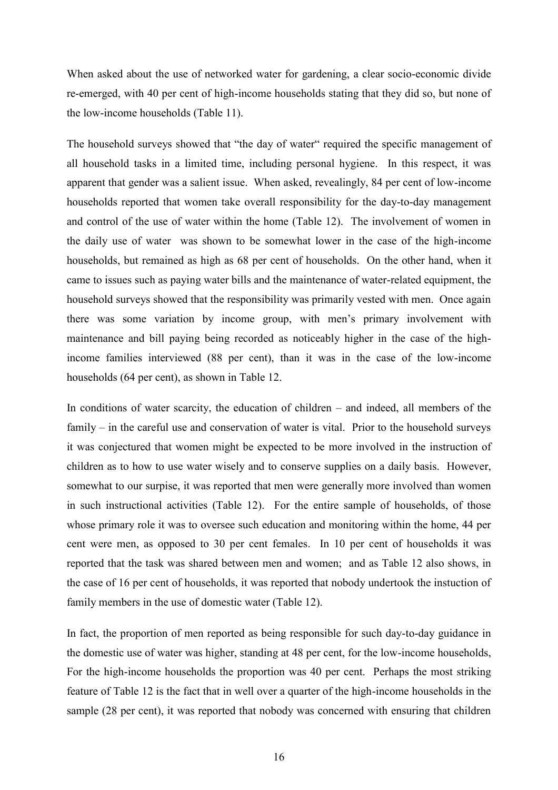When asked about the use of networked water for gardening, a clear socio-economic divide re-emerged, with 40 per cent of high-income households stating that they did so, but none of the low-income households (Table 11).

The household surveys showed that "the day of water" required the specific management of all household tasks in a limited time, including personal hygiene. In this respect, it was apparent that gender was a salient issue. When asked, revealingly, 84 per cent of low-income households reported that women take overall responsibility for the day-to-day management and control of the use of water within the home (Table 12). The involvement of women in the daily use of water was shown to be somewhat lower in the case of the high-income households, but remained as high as 68 per cent of households. On the other hand, when it came to issues such as paying water bills and the maintenance of water-related equipment, the household surveys showed that the responsibility was primarily vested with men. Once again there was some variation by income group, with men's primary involvement with maintenance and bill paying being recorded as noticeably higher in the case of the highincome families interviewed (88 per cent), than it was in the case of the low-income households (64 per cent), as shown in Table 12.

In conditions of water scarcity, the education of children – and indeed, all members of the family – in the careful use and conservation of water is vital. Prior to the household surveys it was conjectured that women might be expected to be more involved in the instruction of children as to how to use water wisely and to conserve supplies on a daily basis. However, somewhat to our surpise, it was reported that men were generally more involved than women in such instructional activities (Table 12). For the entire sample of households, of those whose primary role it was to oversee such education and monitoring within the home, 44 per cent were men, as opposed to 30 per cent females. In 10 per cent of households it was reported that the task was shared between men and women; and as Table 12 also shows, in the case of 16 per cent of households, it was reported that nobody undertook the instuction of family members in the use of domestic water (Table 12).

In fact, the proportion of men reported as being responsible for such day-to-day guidance in the domestic use of water was higher, standing at 48 per cent, for the low-income households, For the high-income households the proportion was 40 per cent. Perhaps the most striking feature of Table 12 is the fact that in well over a quarter of the high-income households in the sample (28 per cent), it was reported that nobody was concerned with ensuring that children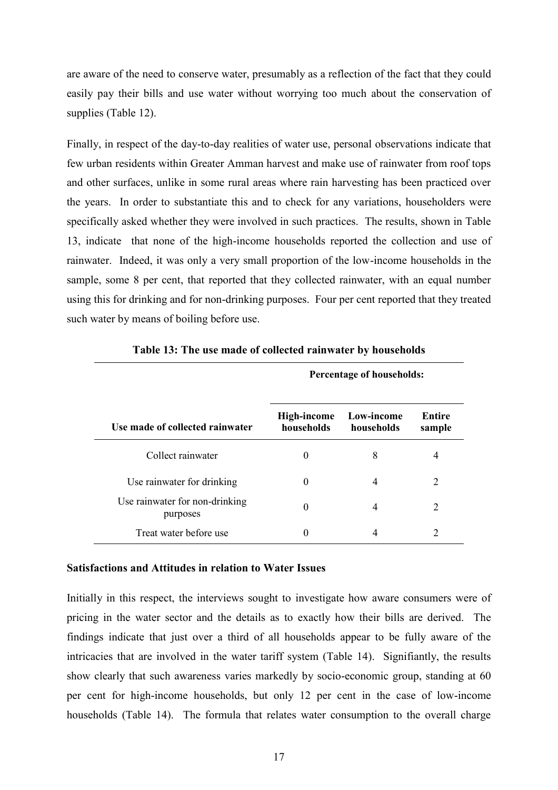are aware of the need to conserve water, presumably as a reflection of the fact that they could easily pay their bills and use water without worrying too much about the conservation of supplies (Table 12).

Finally, in respect of the day-to-day realities of water use, personal observations indicate that few urban residents within Greater Amman harvest and make use of rainwater from roof tops and other surfaces, unlike in some rural areas where rain harvesting has been practiced over the years. In order to substantiate this and to check for any variations, householders were specifically asked whether they were involved in such practices. The results, shown in Table 13, indicate that none of the high-income households reported the collection and use of rainwater. Indeed, it was only a very small proportion of the low-income households in the sample, some 8 per cent, that reported that they collected rainwater, with an equal number using this for drinking and for non-drinking purposes. Four per cent reported that they treated such water by means of boiling before use.

|                                            | Percentage of households: |                          |                  |
|--------------------------------------------|---------------------------|--------------------------|------------------|
| Use made of collected rainwater            | High-income<br>households | Low-income<br>households | Entire<br>sample |
| Collect rainwater                          | $\theta$                  | 8                        | 4                |
| Use rainwater for drinking                 | $\theta$                  | 4                        | 2                |
| Use rainwater for non-drinking<br>purposes | $\theta$                  | 4                        | $\overline{2}$   |
| Treat water before use                     | $\theta$                  | 4                        | 2                |

**Table 13: The use made of collected rainwater by households**

#### **Satisfactions and Attitudes in relation to Water Issues**

Initially in this respect, the interviews sought to investigate how aware consumers were of pricing in the water sector and the details as to exactly how their bills are derived. The findings indicate that just over a third of all households appear to be fully aware of the intricacies that are involved in the water tariff system (Table 14). Signifiantly, the results show clearly that such awareness varies markedly by socio-economic group, standing at 60 per cent for high-income households, but only 12 per cent in the case of low-income households (Table 14). The formula that relates water consumption to the overall charge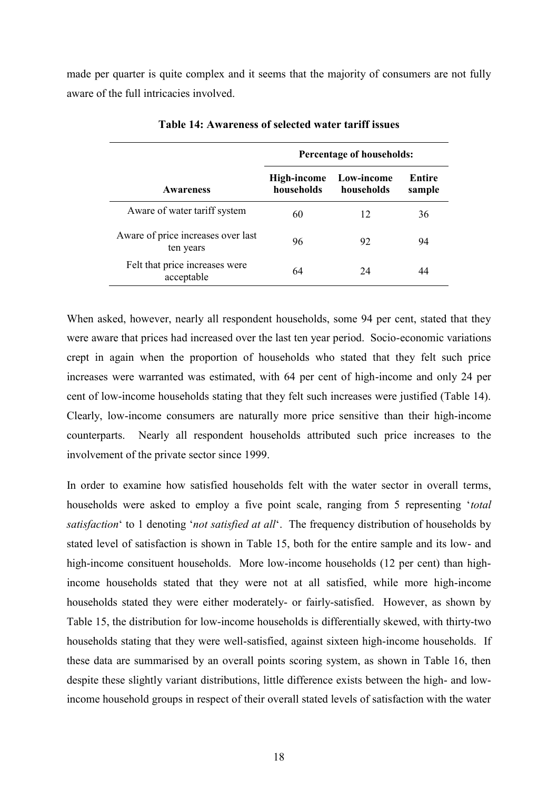made per quarter is quite complex and it seems that the majority of consumers are not fully aware of the full intricacies involved.

|                                                 |                           | Percentage of households: |                  |  |
|-------------------------------------------------|---------------------------|---------------------------|------------------|--|
| <b>Awareness</b>                                | High-income<br>households | Low-income<br>households  | Entire<br>sample |  |
| Aware of water tariff system                    | 60                        | 12                        | 36               |  |
| Aware of price increases over last<br>ten years | 96                        | 92                        | 94               |  |
| Felt that price increases were<br>acceptable    | 64                        | 24                        | 44               |  |

**Table 14: Awareness of selected water tariff issues**

When asked, however, nearly all respondent households, some 94 per cent, stated that they were aware that prices had increased over the last ten year period. Socio-economic variations crept in again when the proportion of households who stated that they felt such price increases were warranted was estimated, with 64 per cent of high-income and only 24 per cent of low-income households stating that they felt such increases were justified (Table 14). Clearly, low-income consumers are naturally more price sensitive than their high-income counterparts. Nearly all respondent households attributed such price increases to the involvement of the private sector since 1999.

In order to examine how satisfied households felt with the water sector in overall terms, households were asked to employ a five point scale, ranging from 5 representing '*total satisfaction*' to 1 denoting '*not satisfied at all*'. The frequency distribution of households by stated level of satisfaction is shown in Table 15, both for the entire sample and its low- and high-income consituent households. More low-income households (12 per cent) than highincome households stated that they were not at all satisfied, while more high-income households stated they were either moderately- or fairly-satisfied. However, as shown by Table 15, the distribution for low-income households is differentially skewed, with thirty-two households stating that they were well-satisfied, against sixteen high-income households. If these data are summarised by an overall points scoring system, as shown in Table 16, then despite these slightly variant distributions, little difference exists between the high- and lowincome household groups in respect of their overall stated levels of satisfaction with the water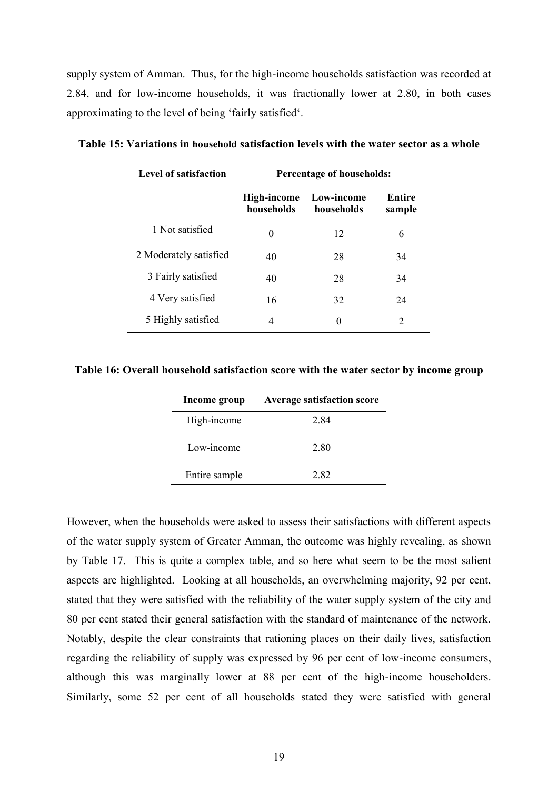supply system of Amman. Thus, for the high-income households satisfaction was recorded at 2.84, and for low-income households, it was fractionally lower at 2.80, in both cases approximating to the level of being 'fairly satisfied'.

| Level of satisfaction  | Percentage of households: |                          |                  |  |
|------------------------|---------------------------|--------------------------|------------------|--|
|                        | High-income<br>households | Low-income<br>households | Entire<br>sample |  |
| 1 Not satisfied        | 0                         | 12                       | 6                |  |
| 2 Moderately satisfied | 40                        | 28                       | 34               |  |
| 3 Fairly satisfied     | 40                        | 28                       | 34               |  |
| 4 Very satisfied       | 16                        | 32                       | 24               |  |
| 5 Highly satisfied     | 4                         | 0                        | 2                |  |

**Table 15: Variations in household satisfaction levels with the water sector as a whole**

**Table 16: Overall household satisfaction score with the water sector by income group**

| Income group  | <b>Average satisfaction score</b> |
|---------------|-----------------------------------|
| High-income   | 2.84                              |
| Low-income    | 2.80                              |
| Entire sample | 282                               |

However, when the households were asked to assess their satisfactions with different aspects of the water supply system of Greater Amman, the outcome was highly revealing, as shown by Table 17. This is quite a complex table, and so here what seem to be the most salient aspects are highlighted. Looking at all households, an overwhelming majority, 92 per cent, stated that they were satisfied with the reliability of the water supply system of the city and 80 per cent stated their general satisfaction with the standard of maintenance of the network. Notably, despite the clear constraints that rationing places on their daily lives, satisfaction regarding the reliability of supply was expressed by 96 per cent of low-income consumers, although this was marginally lower at 88 per cent of the high-income householders. Similarly, some 52 per cent of all households stated they were satisfied with general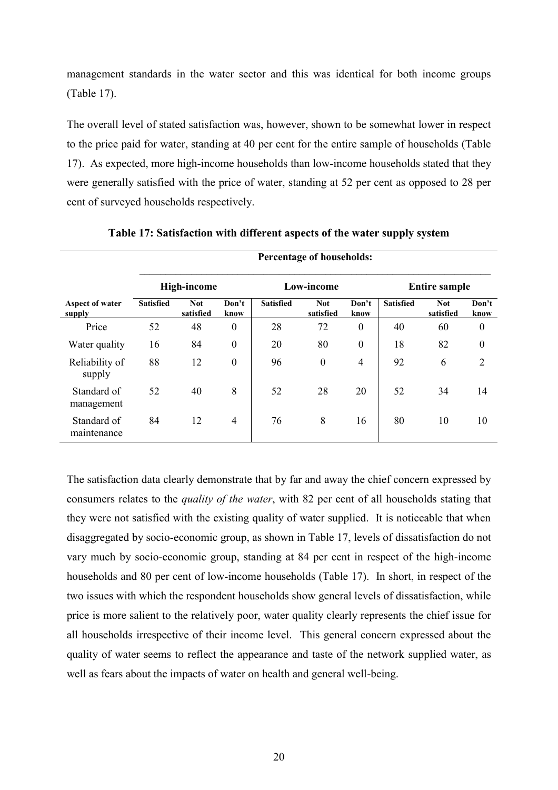management standards in the water sector and this was identical for both income groups (Table 17).

The overall level of stated satisfaction was, however, shown to be somewhat lower in respect to the price paid for water, standing at 40 per cent for the entire sample of households (Table 17). As expected, more high-income households than low-income households stated that they were generally satisfied with the price of water, standing at 52 per cent as opposed to 28 per cent of surveyed households respectively.

|                            | <b>Percentage of households:</b> |                                  |                  |                  |                         |                  |                  |                         |                  |
|----------------------------|----------------------------------|----------------------------------|------------------|------------------|-------------------------|------------------|------------------|-------------------------|------------------|
|                            |                                  | <b>High-income</b><br>Low-income |                  |                  | <b>Entire sample</b>    |                  |                  |                         |                  |
| Aspect of water<br>supply  | <b>Satisfied</b>                 | <b>Not</b><br>satisfied          | Don't<br>know    | <b>Satisfied</b> | <b>Not</b><br>satisfied | Don't<br>know    | <b>Satisfied</b> | <b>Not</b><br>satisfied | Don't<br>know    |
| Price                      | 52                               | 48                               | $\boldsymbol{0}$ | 28               | 72                      | $\boldsymbol{0}$ | 40               | 60                      | $\boldsymbol{0}$ |
| Water quality              | 16                               | 84                               | $\boldsymbol{0}$ | 20               | 80                      | $\boldsymbol{0}$ | 18               | 82                      | $\boldsymbol{0}$ |
| Reliability of<br>supply   | 88                               | 12                               | $\boldsymbol{0}$ | 96               | $\boldsymbol{0}$        | 4                | 92               | 6                       | $\overline{2}$   |
| Standard of<br>management  | 52                               | 40                               | 8                | 52               | 28                      | 20               | 52               | 34                      | 14               |
| Standard of<br>maintenance | 84                               | 12                               | $\overline{4}$   | 76               | 8                       | 16               | 80               | 10                      | 10               |

**Table 17: Satisfaction with different aspects of the water supply system**

The satisfaction data clearly demonstrate that by far and away the chief concern expressed by consumers relates to the *quality of the water*, with 82 per cent of all households stating that they were not satisfied with the existing quality of water supplied. It is noticeable that when disaggregated by socio-economic group, as shown in Table 17, levels of dissatisfaction do not vary much by socio-economic group, standing at 84 per cent in respect of the high-income households and 80 per cent of low-income households (Table 17). In short, in respect of the two issues with which the respondent households show general levels of dissatisfaction, while price is more salient to the relatively poor, water quality clearly represents the chief issue for all households irrespective of their income level. This general concern expressed about the quality of water seems to reflect the appearance and taste of the network supplied water, as well as fears about the impacts of water on health and general well-being.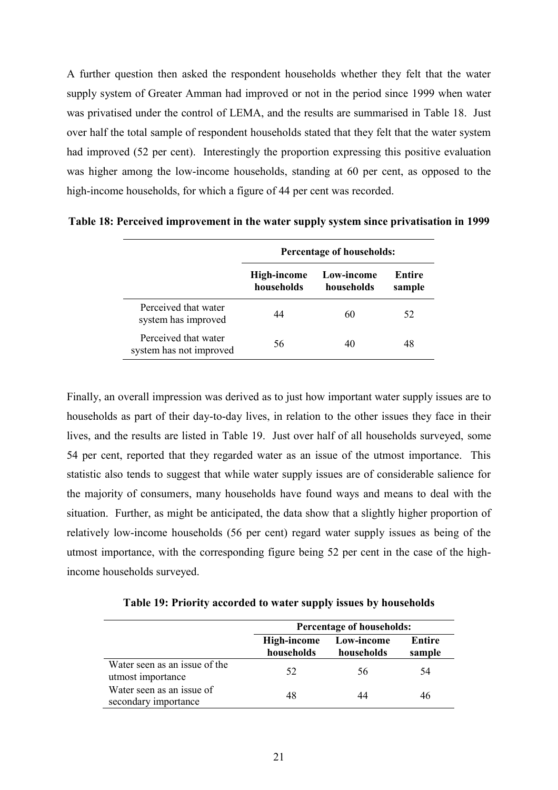A further question then asked the respondent households whether they felt that the water supply system of Greater Amman had improved or not in the period since 1999 when water was privatised under the control of LEMA, and the results are summarised in Table 18. Just over half the total sample of respondent households stated that they felt that the water system had improved (52 per cent). Interestingly the proportion expressing this positive evaluation was higher among the low-income households, standing at 60 per cent, as opposed to the high-income households, for which a figure of 44 per cent was recorded.

|                                                 | <b>Percentage of households:</b> |                          |                  |  |
|-------------------------------------------------|----------------------------------|--------------------------|------------------|--|
|                                                 | High-income<br>households        | Low-income<br>households | Entire<br>sample |  |
| Perceived that water<br>system has improved     | 44                               | 60                       | 52               |  |
| Perceived that water<br>system has not improved | 56                               | 40                       | 48               |  |

**Table 18: Perceived improvement in the water supply system since privatisation in 1999**

Finally, an overall impression was derived as to just how important water supply issues are to households as part of their day-to-day lives, in relation to the other issues they face in their lives, and the results are listed in Table 19. Just over half of all households surveyed, some 54 per cent, reported that they regarded water as an issue of the utmost importance. This statistic also tends to suggest that while water supply issues are of considerable salience for the majority of consumers, many households have found ways and means to deal with the situation. Further, as might be anticipated, the data show that a slightly higher proportion of relatively low-income households (56 per cent) regard water supply issues as being of the utmost importance, with the corresponding figure being 52 per cent in the case of the highincome households surveyed.

| Table 19: Priority accorded to water supply issues by households |  |  |
|------------------------------------------------------------------|--|--|
|                                                                  |  |  |

|                                                    | <b>Percentage of households:</b> |                          |                         |  |
|----------------------------------------------------|----------------------------------|--------------------------|-------------------------|--|
|                                                    | High-income<br>households        | Low-income<br>households | <b>Entire</b><br>sample |  |
| Water seen as an issue of the<br>utmost importance | 52                               | 56                       | 54                      |  |
| Water seen as an issue of<br>secondary importance  | 48                               | 44                       | 46                      |  |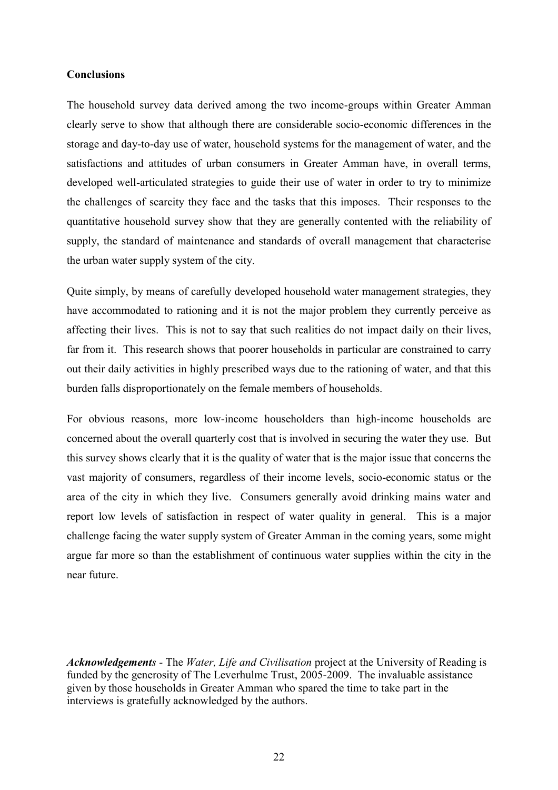## **Conclusions**

The household survey data derived among the two income-groups within Greater Amman clearly serve to show that although there are considerable socio-economic differences in the storage and day-to-day use of water, household systems for the management of water, and the satisfactions and attitudes of urban consumers in Greater Amman have, in overall terms, developed well-articulated strategies to guide their use of water in order to try to minimize the challenges of scarcity they face and the tasks that this imposes. Their responses to the quantitative household survey show that they are generally contented with the reliability of supply, the standard of maintenance and standards of overall management that characterise the urban water supply system of the city.

Quite simply, by means of carefully developed household water management strategies, they have accommodated to rationing and it is not the major problem they currently perceive as affecting their lives. This is not to say that such realities do not impact daily on their lives, far from it. This research shows that poorer households in particular are constrained to carry out their daily activities in highly prescribed ways due to the rationing of water, and that this burden falls disproportionately on the female members of households.

For obvious reasons, more low-income householders than high-income households are concerned about the overall quarterly cost that is involved in securing the water they use. But this survey shows clearly that it is the quality of water that is the major issue that concerns the vast majority of consumers, regardless of their income levels, socio-economic status or the area of the city in which they live. Consumers generally avoid drinking mains water and report low levels of satisfaction in respect of water quality in general. This is a major challenge facing the water supply system of Greater Amman in the coming years, some might argue far more so than the establishment of continuous water supplies within the city in the near future.

*Acknowledgements -* The *Water, Life and Civilisation* project at the University of Reading is funded by the generosity of The Leverhulme Trust, 2005-2009. The invaluable assistance given by those households in Greater Amman who spared the time to take part in the interviews is gratefully acknowledged by the authors.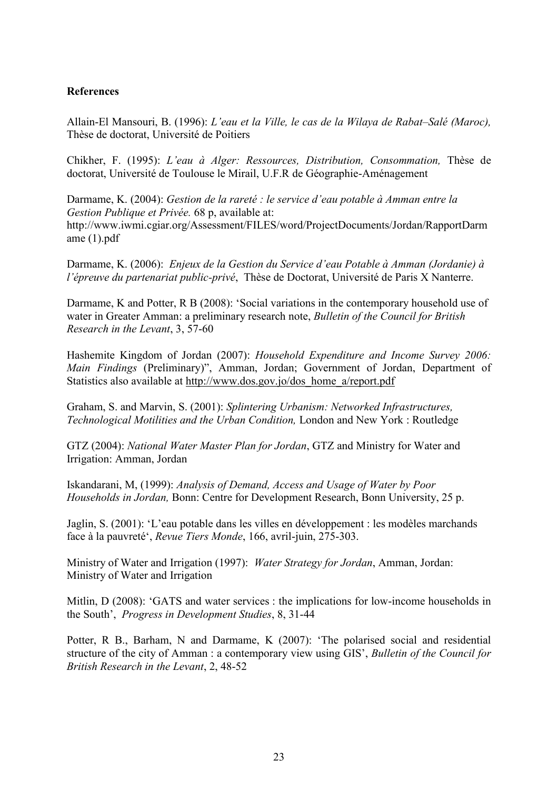# **References**

Allain-El Mansouri, B. (1996): *L'eau et la Ville, le cas de la Wilaya de Rabat–Salé (Maroc),* Thèse de doctorat, Université de Poitiers

Chikher, F. (1995): *L'eau à Alger: Ressources, Distribution, Consommation,* Thèse de doctorat, Université de Toulouse le Mirail, U.F.R de Géographie-Aménagement

Darmame, K. (2004): *Gestion de la rareté : le service d'eau potable à Amman entre la Gestion Publique et Privée.* 68 p, available at: http://www.iwmi.cgiar.org/Assessment/FILES/word/ProjectDocuments/Jordan/RapportDarm ame (1).pdf

Darmame, K. (2006): *Enjeux de la Gestion du Service d'eau Potable à Amman (Jordanie) à l'épreuve du partenariat public-privé*, Thèse de Doctorat, Université de Paris X Nanterre.

Darmame, K and Potter, R B (2008): 'Social variations in the contemporary household use of water in Greater Amman: a preliminary research note, *Bulletin of the Council for British Research in the Levant*, 3, 57-60

Hashemite Kingdom of Jordan (2007): *Household Expenditure and Income Survey 2006: Main Findings* (Preliminary)", Amman, Jordan; Government of Jordan, Department of Statistics also available at [http://www.dos.gov.jo/dos\\_home\\_a/report.pdf](http://www.dos.gov.jo/dos_home_a/report.pdf)

Graham, S. and Marvin, S. (2001): *Splintering Urbanism: Networked Infrastructures, Technological Motilities and the Urban Condition,* London and New York : Routledge

GTZ (2004): *National Water Master Plan for Jordan*, GTZ and Ministry for Water and Irrigation: Amman, Jordan

Iskandarani, M, (1999): *Analysis of Demand, Access and Usage of Water by Poor Households in Jordan,* Bonn: Centre for Development Research, Bonn University, 25 p.

Jaglin, S. (2001): 'L'eau potable dans les villes en développement : les modèles marchands face à la pauvreté', *Revue Tiers Monde*, 166, avril-juin, 275-303.

Ministry of Water and Irrigation (1997): *Water Strategy for Jordan*, Amman, Jordan: Ministry of Water and Irrigation

Mitlin, D (2008): 'GATS and water services : the implications for low-income households in the South', *Progress in Development Studies*, 8, 31-44

Potter, R B., Barham, N and Darmame, K (2007): 'The polarised social and residential structure of the city of Amman : a contemporary view using GIS', *Bulletin of the Council for British Research in the Levant*, 2, 48-52